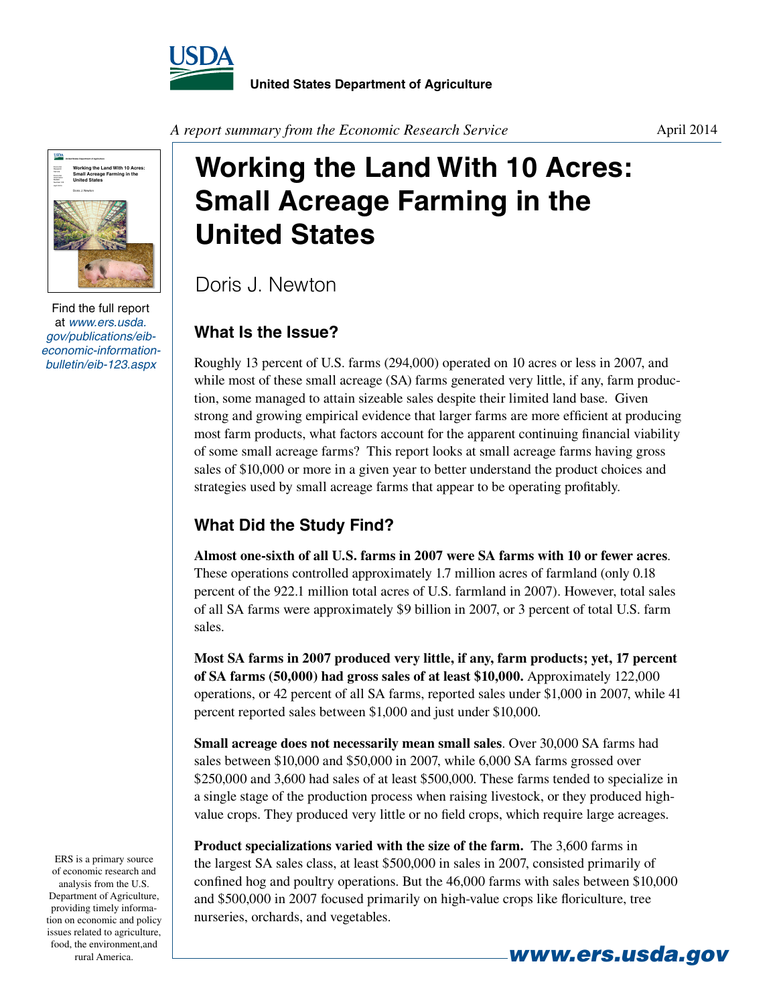



Find the full report at *www.ers.usda. gov/publications/eibeconomic-informationbulletin/eib-123.aspx*

*A report summary from the Economic Research Service*

# **Working the Land With 10 Acres: Small Acreage Farming in the United States**

Doris J. Newton

### **What Is the Issue?**

Roughly 13 percent of U.S. farms (294,000) operated on 10 acres or less in 2007, and while most of these small acreage (SA) farms generated very little, if any, farm production, some managed to attain sizeable sales despite their limited land base. Given strong and growing empirical evidence that larger farms are more efficient at producing most farm products, what factors account for the apparent continuing financial viability of some small acreage farms? This report looks at small acreage farms having gross sales of \$10,000 or more in a given year to better understand the product choices and strategies used by small acreage farms that appear to be operating profitably.

## **What Did the Study Find?**

**Almost one-sixth of all U.S. farms in 2007 were SA farms with 10 or fewer acres**. These operations controlled approximately 1.7 million acres of farmland (only 0.18 percent of the 922.1 million total acres of U.S. farmland in 2007). However, total sales of all SA farms were approximately \$9 billion in 2007, or 3 percent of total U.S. farm sales.

**Most SA farms in 2007 produced very little, if any, farm products; yet, 17 percent of SA farms (50,000) had gross sales of at least \$10,000.** Approximately 122,000 operations, or 42 percent of all SA farms, reported sales under \$1,000 in 2007, while 41 percent reported sales between \$1,000 and just under \$10,000.

**Small acreage does not necessarily mean small sales**. Over 30,000 SA farms had sales between \$10,000 and \$50,000 in 2007, while 6,000 SA farms grossed over \$250,000 and 3,600 had sales of at least \$500,000. These farms tended to specialize in a single stage of the production process when raising livestock, or they produced highvalue crops. They produced very little or no field crops, which require large acreages.

**Product specializations varied with the size of the farm.** The 3,600 farms in the largest SA sales class, at least \$500,000 in sales in 2007, consisted primarily of confined hog and poultry operations. But the 46,000 farms with sales between \$10,000 and \$500,000 in 2007 focused primarily on high-value crops like floriculture, tree nurseries, orchards, and vegetables.

ERS is a primary source of economic research and analysis from the U.S. Department of Agriculture, providing timely information on economic and policy issues related to agriculture, food, the environment,and **rural America. www.ers.usda.gov**